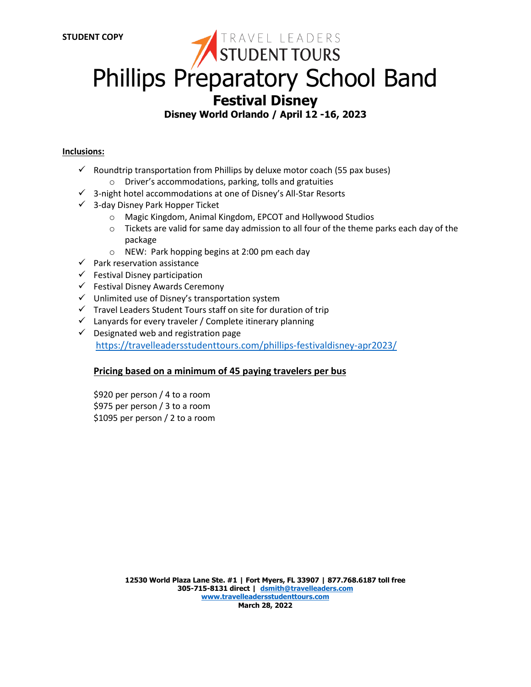# **Phillips Preparatory School Band Festival Disney Disney World Orlando / April 12 -16, 2023**

#### **Inclusions:**

- $\checkmark$  Roundtrip transportation from Phillips by deluxe motor coach (55 pax buses)
	- o Driver's accommodations, parking, tolls and gratuities
- ✓ 3-night hotel accommodations at one of Disney's All-Star Resorts
- ✓ 3-day Disney Park Hopper Ticket
	- o Magic Kingdom, Animal Kingdom, EPCOT and Hollywood Studios
	- o Tickets are valid for same day admission to all four of the theme parks each day of the package
	- o NEW: Park hopping begins at 2:00 pm each day
- $\checkmark$  Park reservation assistance
- $\checkmark$  Festival Disney participation
- ✓ Festival Disney Awards Ceremony
- ✓ Unlimited use of Disney's transportation system
- ✓ Travel Leaders Student Tours staff on site for duration of trip
- $\checkmark$  Lanyards for every traveler / Complete itinerary planning
- $\checkmark$  Designated web and registration page <https://travelleadersstudenttours.com/phillips-festivaldisney-apr2023/>

#### **Pricing based on a minimum of 45 paying travelers per bus**

\$920 per person / 4 to a room \$975 per person / 3 to a room \$1095 per person / 2 to a room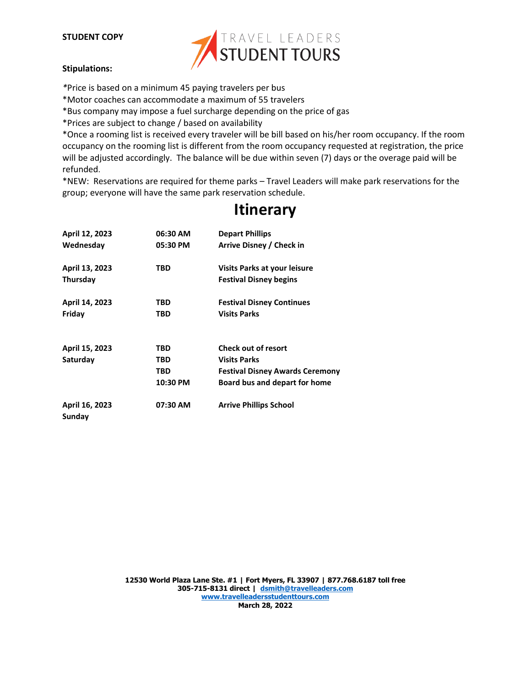#### **STUDENT COPY**



#### **Stipulations:**

- *\**Price is based on a minimum 45 paying travelers per bus
- \*Motor coaches can accommodate a maximum of 55 travelers
- \*Bus company may impose a fuel surcharge depending on the price of gas
- \*Prices are subject to change / based on availability

\*Once a rooming list is received every traveler will be bill based on his/her room occupancy. If the room occupancy on the rooming list is different from the room occupancy requested at registration, the price will be adjusted accordingly. The balance will be due within seven (7) days or the overage paid will be refunded.

\*NEW: Reservations are required for theme parks – Travel Leaders will make park reservations for the group; everyone will have the same park reservation schedule.

| April 12, 2023<br>Wednesday | 06:30 AM<br>05:30 PM          | <b>Depart Phillips</b><br>Arrive Disney / Check in                                                                           |
|-----------------------------|-------------------------------|------------------------------------------------------------------------------------------------------------------------------|
| April 13, 2023<br>Thursday  | TBD                           | Visits Parks at your leisure<br><b>Festival Disney begins</b>                                                                |
| April 14, 2023<br>Friday    | TBD<br>TBD                    | <b>Festival Disney Continues</b><br><b>Visits Parks</b>                                                                      |
| April 15, 2023<br>Saturday  | TBD<br>TBD<br>TBD<br>10:30 PM | <b>Check out of resort</b><br><b>Visits Parks</b><br><b>Festival Disney Awards Ceremony</b><br>Board bus and depart for home |
| April 16, 2023<br>Sunday    | 07:30 AM                      | <b>Arrive Phillips School</b>                                                                                                |

## **Itinerary**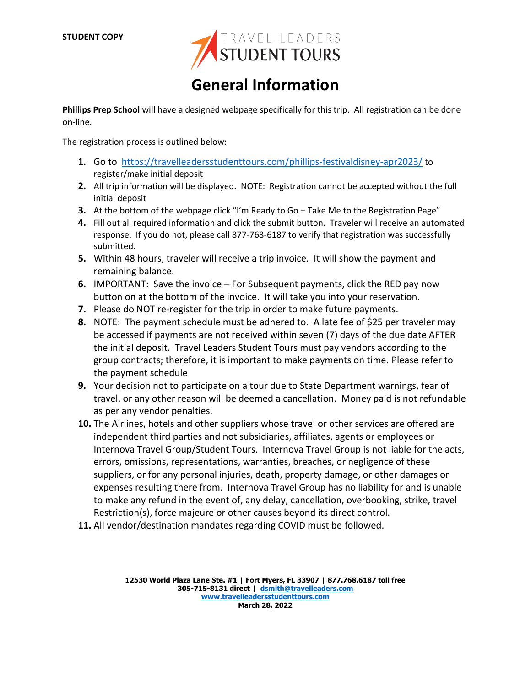

# **General Information**

**Phillips Prep School** will have a designed webpage specifically for this trip. All registration can be done on-line.

The registration process is outlined below:

- **1.** Go to <https://travelleadersstudenttours.com/phillips-festivaldisney-apr2023/> to register/make initial deposit
- **2.** All trip information will be displayed. NOTE: Registration cannot be accepted without the full initial deposit
- **3.** At the bottom of the webpage click "I'm Ready to Go Take Me to the Registration Page"
- **4.** Fill out all required information and click the submit button. Traveler will receive an automated response. If you do not, please call 877-768-6187 to verify that registration was successfully submitted.
- **5.** Within 48 hours, traveler will receive a trip invoice. It will show the payment and remaining balance.
- **6.** IMPORTANT: Save the invoice For Subsequent payments, click the RED pay now button on at the bottom of the invoice. It will take you into your reservation.
- **7.** Please do NOT re-register for the trip in order to make future payments.
- **8.** NOTE: The payment schedule must be adhered to. A late fee of \$25 per traveler may be accessed if payments are not received within seven (7) days of the due date AFTER the initial deposit. Travel Leaders Student Tours must pay vendors according to the group contracts; therefore, it is important to make payments on time. Please refer to the payment schedule
- **9.** Your decision not to participate on a tour due to State Department warnings, fear of travel, or any other reason will be deemed a cancellation. Money paid is not refundable as per any vendor penalties.
- **10.** The Airlines, hotels and other suppliers whose travel or other services are offered are independent third parties and not subsidiaries, affiliates, agents or employees or Internova Travel Group/Student Tours. Internova Travel Group is not liable for the acts, errors, omissions, representations, warranties, breaches, or negligence of these suppliers, or for any personal injuries, death, property damage, or other damages or expenses resulting there from. Internova Travel Group has no liability for and is unable to make any refund in the event of, any delay, cancellation, overbooking, strike, travel Restriction(s), force majeure or other causes beyond its direct control.
- **11.** All vendor/destination mandates regarding COVID must be followed.